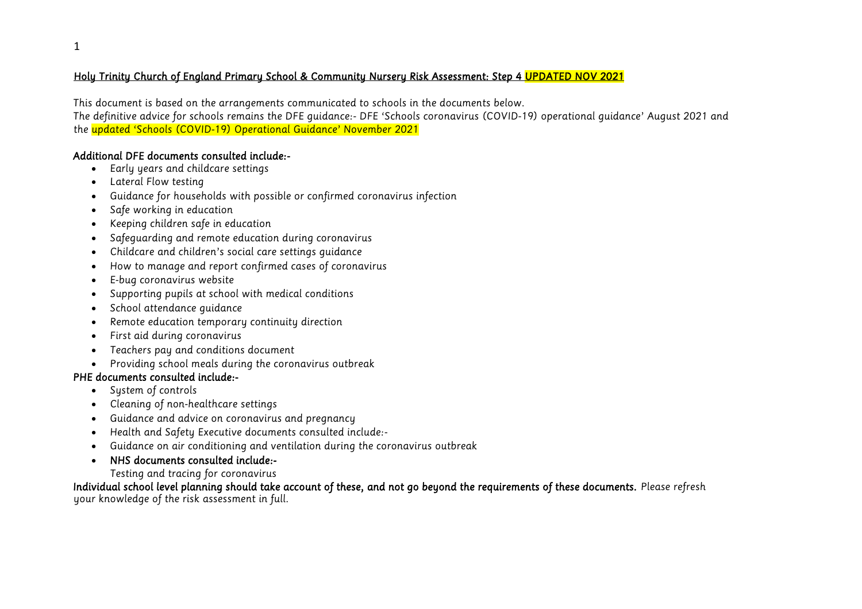## *Holy Trinity Church of England Primary School & Community Nursery Risk Assessment: Step 4 UPDATED NOV 2021*

*This document is based on the arrangements communicated to schools in the documents below. The definitive advice for schools remains the DFE guidance:- DFE 'Schools coronavirus (COVID-19) operational guidance' August 2021 and the updated 'Schools (COVID-19) Operational Guidance' November 2021*

## *Additional DFE documents consulted include:-*

- *Early years and childcare settings*
- *Lateral Flow testing*
- *Guidance for households with possible or confirmed coronavirus infection*
- *Safe working in education*
- *Keeping children safe in education*
- *Safeguarding and remote education during coronavirus*
- *Childcare and children's social care settings guidance*
- *How to manage and report confirmed cases of coronavirus*
- *E-bug coronavirus website*
- *Supporting pupils at school with medical conditions*
- *School attendance guidance*
- *Remote education temporary continuity direction*
- *First aid during coronavirus*
- *Teachers pay and conditions document*
- *Providing school meals during the coronavirus outbreak*

## *PHE documents consulted include:-*

- *System of controls*
- *Cleaning of non-healthcare settings*
- *Guidance and advice on coronavirus and pregnancy*
- *Health and Safety Executive documents consulted include:-*
- *Guidance on air conditioning and ventilation during the coronavirus outbreak*
- *NHS documents consulted include:-* 
	- *Testing and tracing for coronavirus*

*Individual school level planning should take account of these, and not go beyond the requirements of these documents. Please refresh your knowledge of the risk assessment in full.*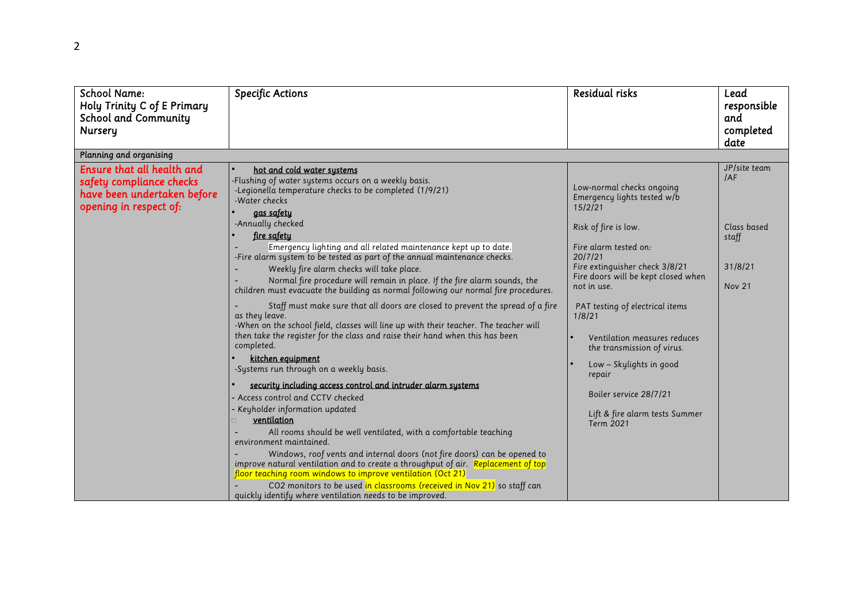| <b>School Name:</b><br>Holy Trinity C of E Primary<br><b>School and Community</b><br>Nursery                    | <b>Specific Actions</b>                                                                                                                                                                                                                                                                                                                                                                                                                                                                                                                                                                                                                                                                                                                                                                                                                                                                                                                                                                                                                                                                                                                                                                                                                                                                                                                                                                                                                                                                                         | <b>Residual risks</b>                                                                                                                                                                                                                                                                                                                                                                                                                                   | Lead<br>responsible<br>and<br>completed<br>date                         |
|-----------------------------------------------------------------------------------------------------------------|-----------------------------------------------------------------------------------------------------------------------------------------------------------------------------------------------------------------------------------------------------------------------------------------------------------------------------------------------------------------------------------------------------------------------------------------------------------------------------------------------------------------------------------------------------------------------------------------------------------------------------------------------------------------------------------------------------------------------------------------------------------------------------------------------------------------------------------------------------------------------------------------------------------------------------------------------------------------------------------------------------------------------------------------------------------------------------------------------------------------------------------------------------------------------------------------------------------------------------------------------------------------------------------------------------------------------------------------------------------------------------------------------------------------------------------------------------------------------------------------------------------------|---------------------------------------------------------------------------------------------------------------------------------------------------------------------------------------------------------------------------------------------------------------------------------------------------------------------------------------------------------------------------------------------------------------------------------------------------------|-------------------------------------------------------------------------|
| Planning and organising                                                                                         |                                                                                                                                                                                                                                                                                                                                                                                                                                                                                                                                                                                                                                                                                                                                                                                                                                                                                                                                                                                                                                                                                                                                                                                                                                                                                                                                                                                                                                                                                                                 |                                                                                                                                                                                                                                                                                                                                                                                                                                                         |                                                                         |
| Ensure that all health and<br>safety compliance checks<br>have been undertaken before<br>opening in respect of: | hot and cold water systems<br>-Flushing of water systems occurs on a weekly basis.<br>-Legionella temperature checks to be completed (1/9/21)<br>-Water checks<br>gas safety<br>-Annually checked<br><u>fire safety</u><br>Emergency lighting and all related maintenance kept up to date.<br>-Fire alarm system to be tested as part of the annual maintenance checks.<br>Weekly fire alarm checks will take place.<br>Normal fire procedure will remain in place. If the fire alarm sounds, the<br>children must evacuate the building as normal following our normal fire procedures.<br>Staff must make sure that all doors are closed to prevent the spread of a fire<br>as they leave.<br>-When on the school field, classes will line up with their teacher. The teacher will<br>then take the register for the class and raise their hand when this has been<br>completed.<br>kitchen equipment<br>-Systems run through on a weekly basis.<br>security including access control and intruder alarm systems<br>Access control and CCTV checked<br>Keyholder information updated<br>ventilation<br>All rooms should be well ventilated, with a comfortable teaching<br>environment maintained.<br>Windows, roof vents and internal doors (not fire doors) can be opened to<br>improve natural ventilation and to create a throughput of air. Replacement of top<br>floor teaching room windows to improve ventilation (Oct 21)<br>CO2 monitors to be used in classrooms (received in Nov 21) so staff can | Low-normal checks ongoing<br>Emergency lights tested w/b<br>15/2/21<br>Risk of fire is low.<br>Fire alarm tested on:<br>20/7/21<br>Fire extinguisher check 3/8/21<br>Fire doors will be kept closed when<br>not in use.<br>PAT testing of electrical items<br>1/8/21<br>Ventilation measures reduces<br>the transmission of virus.<br>Low - Skylights in good<br>repair<br>Boiler service 28/7/21<br>Lift & fire alarm tests Summer<br><b>Term 2021</b> | JP/site team<br>IAF<br>Class based<br>staff<br>31/8/21<br><b>Nov 21</b> |
|                                                                                                                 | quickly identify where ventilation needs to be improved.                                                                                                                                                                                                                                                                                                                                                                                                                                                                                                                                                                                                                                                                                                                                                                                                                                                                                                                                                                                                                                                                                                                                                                                                                                                                                                                                                                                                                                                        |                                                                                                                                                                                                                                                                                                                                                                                                                                                         |                                                                         |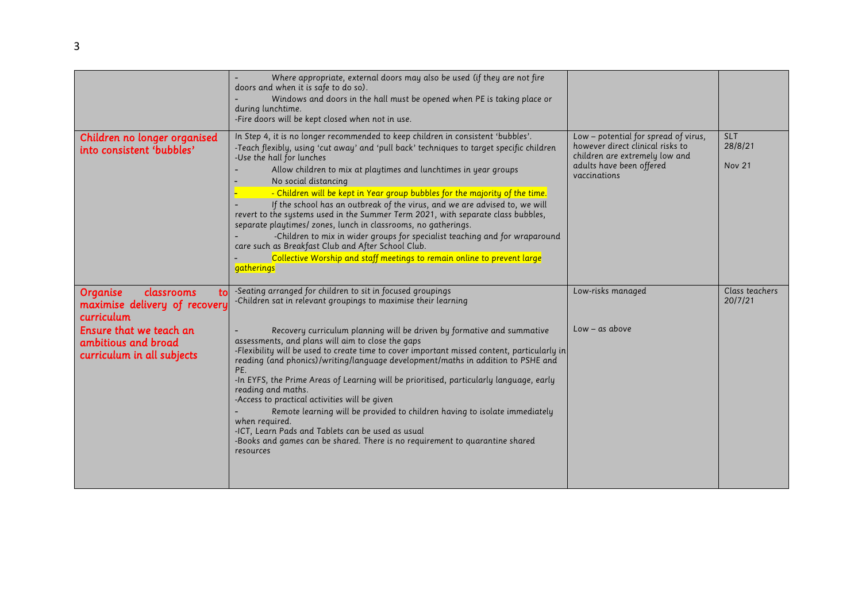| SLT<br>28/8/21<br>Nov 21  |
|---------------------------|
| Class teachers<br>20/7/21 |
|                           |
|                           |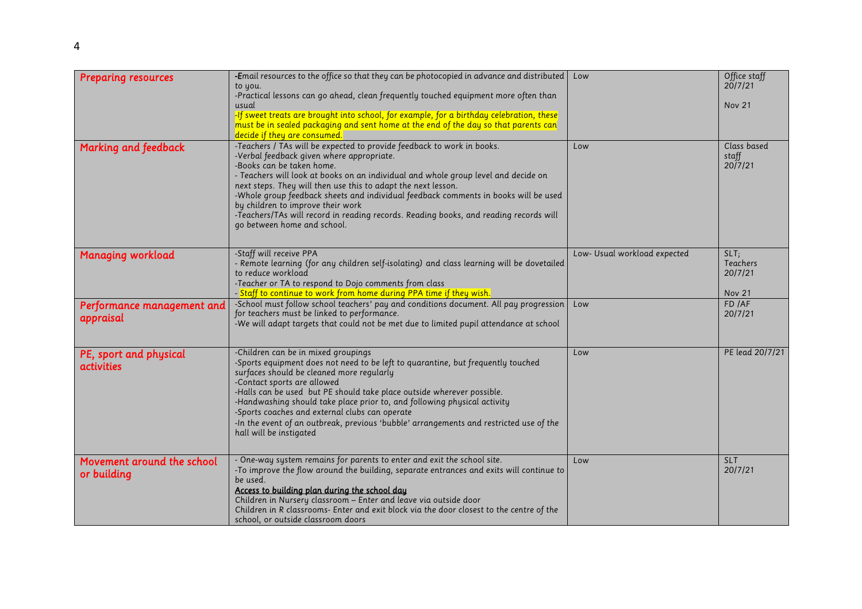| <b>Preparing resources</b>                  | -Email resources to the office so that they can be photocopied in advance and distributed<br>to you.<br>-Practical lessons can go ahead, clean frequently touched equipment more often than<br>usual<br>-If sweet treats are brought into school, for example, for a birthday celebration, these<br>must be in sealed packaging and sent home at the end of the day so that parents can<br>decide if they are consumed.                                                                                                                                     | Low                          | Office staff<br>20/7/21<br><b>Nov 21</b>           |
|---------------------------------------------|-------------------------------------------------------------------------------------------------------------------------------------------------------------------------------------------------------------------------------------------------------------------------------------------------------------------------------------------------------------------------------------------------------------------------------------------------------------------------------------------------------------------------------------------------------------|------------------------------|----------------------------------------------------|
| Marking and feedback                        | -Teachers / TAs will be expected to provide feedback to work in books.<br>-Verbal feedback given where appropriate.<br>-Books can be taken home.<br>- Teachers will look at books on an individual and whole group level and decide on<br>next steps. They will then use this to adapt the next lesson.<br>-Whole group feedback sheets and individual feedback comments in books will be used<br>by children to improve their work<br>-Teachers/TAs will record in reading records. Reading books, and reading records will<br>go between home and school. | Low                          | Class based<br>staff<br>20/7/21                    |
| <b>Managing workload</b>                    | -Staff will receive PPA<br>- Remote learning (for any children self-isolating) and class learning will be dovetailed<br>to reduce workload<br>-Teacher or TA to respond to Dojo comments from class<br>- Staff to continue to work from home during PPA time if they wish.                                                                                                                                                                                                                                                                                  | Low- Usual workload expected | SLT<br><b>Teachers</b><br>20/7/21<br><b>Nov 21</b> |
| Performance management and<br>appraisal     | -School must follow school teachers' pay and conditions document. All pay progression<br>for teachers must be linked to performance.<br>-We will adapt targets that could not be met due to limited pupil attendance at school                                                                                                                                                                                                                                                                                                                              | Low                          | FD /AF<br>20/7/21                                  |
| PE, sport and physical<br><i>activities</i> | -Children can be in mixed groupings<br>-Sports equipment does not need to be left to quarantine, but frequently touched<br>surfaces should be cleaned more regularly<br>-Contact sports are allowed<br>-Halls can be used but PE should take place outside wherever possible.<br>-Handwashing should take place prior to, and following physical activity<br>-Sports coaches and external clubs can operate<br>-In the event of an outbreak, previous 'bubble' arrangements and restricted use of the<br>hall will be instigated                            | Low                          | PE lead 20/7/21                                    |
| Movement around the school<br>or building   | - One-way system remains for parents to enter and exit the school site.<br>-To improve the flow around the building, separate entrances and exits will continue to<br>be used.<br>Access to building plan during the school day<br>Children in Nursery classroom - Enter and leave via outside door<br>Children in R classrooms- Enter and exit block via the door closest to the centre of the<br>school, or outside classroom doors                                                                                                                       | Low                          | <b>SLT</b><br>20/7/21                              |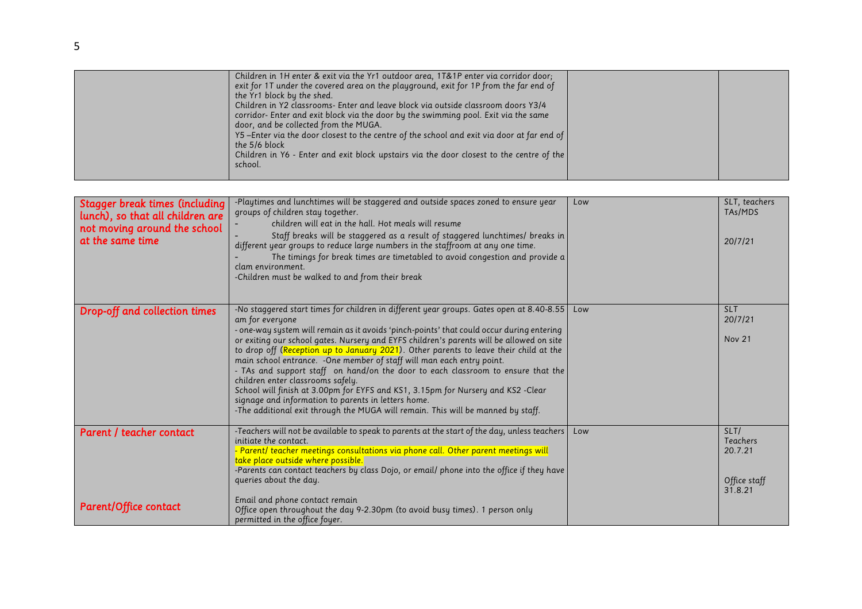| Stagger break times (including<br>lunch), so that all children are<br>not moving around the school<br>at the same time | -Playtimes and lunchtimes will be staggered and outside spaces zoned to ensure year<br>groups of children stay together.<br>children will eat in the hall. Hot meals will resume<br>Staff breaks will be staggered as a result of staggered lunchtimes/ breaks in<br>different year groups to reduce large numbers in the staffroom at any one time.<br>The timings for break times are timetabled to avoid congestion and provide a<br>clam environment.<br>-Children must be walked to and from their break                                                                                                                                                                                                                                                                                                                   | Low | SLT, teachers<br>TAs/MDS<br>20/7/21                           |
|------------------------------------------------------------------------------------------------------------------------|---------------------------------------------------------------------------------------------------------------------------------------------------------------------------------------------------------------------------------------------------------------------------------------------------------------------------------------------------------------------------------------------------------------------------------------------------------------------------------------------------------------------------------------------------------------------------------------------------------------------------------------------------------------------------------------------------------------------------------------------------------------------------------------------------------------------------------|-----|---------------------------------------------------------------|
| Drop-off and collection times                                                                                          | -No staggered start times for children in different year groups. Gates open at 8.40-8.55<br>am for everyone<br>- one-way system will remain as it avoids 'pinch-points' that could occur during entering<br>or exiting our school gates. Nursery and EYFS children's parents will be allowed on site<br>to drop off (Reception up to January 2021). Other parents to leave their child at the<br>main school entrance. - One member of staff will man each entry point.<br>- TAs and support staff on hand/on the door to each classroom to ensure that the<br>children enter classrooms safely.<br>School will finish at 3.00pm for EYFS and KS1, 3.15pm for Nursery and KS2 -Clear<br>signage and information to parents in letters home.<br>-The additional exit through the MUGA will remain. This will be manned by staff. | Low | <b>SLT</b><br>20/7/21<br><b>Nov 21</b>                        |
| Parent / teacher contact<br><b>Parent/Office contact</b>                                                               | -Teachers will not be available to speak to parents at the start of the day, unless teachers  <br>initiate the contact.<br>- Parent/ teacher meetings consultations via phone call. Other parent meetings will<br>take place outside where possible.<br>-Parents can contact teachers by class Dojo, or email/ phone into the office if they have<br>queries about the day.<br>Email and phone contact remain<br>Office open throughout the day 9-2.30pm (to avoid busy times). 1 person only<br>permitted in the office foyer.                                                                                                                                                                                                                                                                                                 | Low | SLT/<br><b>Teachers</b><br>20.7.21<br>Office staff<br>31.8.21 |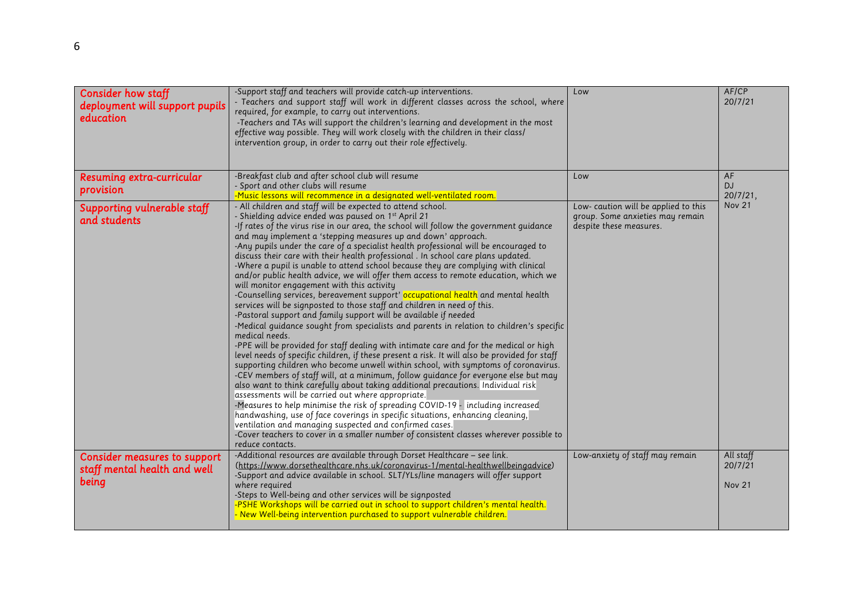| <b>Consider how staff</b><br>deployment will support pupils<br>education     | -Support staff and teachers will provide catch-up interventions.<br>- Teachers and support staff will work in different classes across the school, where<br>required, for example, to carry out interventions.<br>-Teachers and TAs will support the children's learning and development in the most<br>effective way possible. They will work closely with the children in their class/<br>intervention group, in order to carry out their role effectively.                                                                                                                                                                                                                                                                                                                                                                                                                                                                                                                                                                                                                                                                                                                                                                                                                                                                                                                                                                                                                                                                                                                                                                                                                                                                                                                                                                                                                                                            | Low                                                                                                | AF/CP<br>20/7/21                      |
|------------------------------------------------------------------------------|--------------------------------------------------------------------------------------------------------------------------------------------------------------------------------------------------------------------------------------------------------------------------------------------------------------------------------------------------------------------------------------------------------------------------------------------------------------------------------------------------------------------------------------------------------------------------------------------------------------------------------------------------------------------------------------------------------------------------------------------------------------------------------------------------------------------------------------------------------------------------------------------------------------------------------------------------------------------------------------------------------------------------------------------------------------------------------------------------------------------------------------------------------------------------------------------------------------------------------------------------------------------------------------------------------------------------------------------------------------------------------------------------------------------------------------------------------------------------------------------------------------------------------------------------------------------------------------------------------------------------------------------------------------------------------------------------------------------------------------------------------------------------------------------------------------------------------------------------------------------------------------------------------------------------|----------------------------------------------------------------------------------------------------|---------------------------------------|
| Resuming extra-curricular<br>provision                                       | -Breakfast club and after school club will resume<br>- Sport and other clubs will resume<br>-Music lessons will recommence in a designated well-ventilated room.                                                                                                                                                                                                                                                                                                                                                                                                                                                                                                                                                                                                                                                                                                                                                                                                                                                                                                                                                                                                                                                                                                                                                                                                                                                                                                                                                                                                                                                                                                                                                                                                                                                                                                                                                         | Low                                                                                                | AF<br><b>DJ</b><br>20/7/21,           |
| Supporting vulnerable staff<br>and students                                  | - All children and staff will be expected to attend school.<br>- Shielding advice ended was paused on 1 <sup>st</sup> April 21<br>-If rates of the virus rise in our area, the school will follow the government guidance<br>and may implement a 'stepping measures up and down' approach.<br>-Any pupils under the care of a specialist health professional will be encouraged to<br>discuss their care with their health professional . In school care plans updated.<br>-Where a pupil is unable to attend school because they are complying with clinical<br>and/or public health advice, we will offer them access to remote education, which we<br>will monitor engagement with this activity<br>-Counselling services, bereavement support' occupational health and mental health<br>services will be signposted to those staff and children in need of this.<br>-Pastoral support and family support will be available if needed<br>-Medical quidance sought from specialists and parents in relation to children's specific<br>medical needs.<br>-PPE will be provided for staff dealing with intimate care and for the medical or high<br>level needs of specific children, if these present a risk. It will also be provided for staff<br>supporting children who become unwell within school, with symptoms of coronavirus.<br>-CEV members of staff will, at a minimum, follow guidance for everyone else but may<br>also want to think carefully about taking additional precautions. Individual risk<br>assessments will be carried out where appropriate.<br>-Measures to help minimise the risk of spreading COVID-19 - including increased<br>handwashing, use of face coverings in specific situations, enhancing cleaning,<br>ventilation and managing suspected and confirmed cases.<br>-Cover teachers to cover in a smaller number of consistent classes wherever possible to<br>reduce contacts. | Low-caution will be applied to this<br>group. Some anxieties may remain<br>despite these measures. | <b>Nov 21</b>                         |
| <b>Consider measures to support</b><br>staff mental health and well<br>being | -Additional resources are available through Dorset Healthcare - see link.<br>(https://www.dorsethealthcare.nhs.uk/coronavirus-1/mental-healthwellbeingadvice)<br>-Support and advice available in school. SLT/YLs/line managers will offer support<br>where required<br>-Steps to Well-being and other services will be signposted<br>-PSHE Workshops will be carried out in school to support children's mental health.<br>- New Well-being intervention purchased to support vulnerable children.                                                                                                                                                                                                                                                                                                                                                                                                                                                                                                                                                                                                                                                                                                                                                                                                                                                                                                                                                                                                                                                                                                                                                                                                                                                                                                                                                                                                                      | Low-anxiety of staff may remain                                                                    | All staff<br>20/7/21<br><b>Nov 21</b> |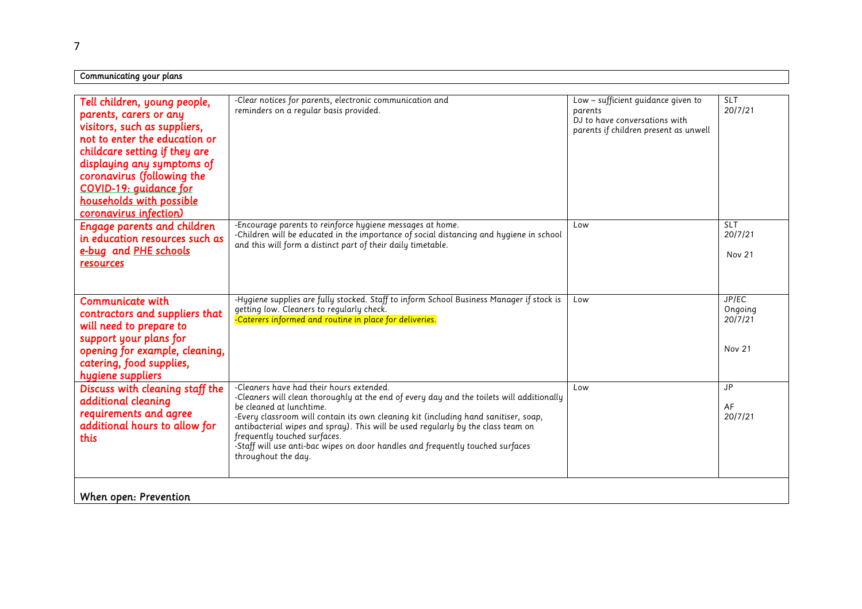| Communicating your plans                                                                                                                                                                                                                                                                             |                                                                                                                                                                                                                                                                                                                                                                                                                                                                                       |                                                                                                                         |                                       |
|------------------------------------------------------------------------------------------------------------------------------------------------------------------------------------------------------------------------------------------------------------------------------------------------------|---------------------------------------------------------------------------------------------------------------------------------------------------------------------------------------------------------------------------------------------------------------------------------------------------------------------------------------------------------------------------------------------------------------------------------------------------------------------------------------|-------------------------------------------------------------------------------------------------------------------------|---------------------------------------|
|                                                                                                                                                                                                                                                                                                      |                                                                                                                                                                                                                                                                                                                                                                                                                                                                                       |                                                                                                                         |                                       |
| Tell children, young people,<br>parents, carers or any<br>visitors, such as suppliers,<br>not to enter the education or<br>childcare setting if they are<br>displaying any symptoms of<br>coronavirus (following the<br>COVID-19: guidance for<br>households with possible<br>coronavirus infection) | -Clear notices for parents, electronic communication and<br>reminders on a regular basis provided.                                                                                                                                                                                                                                                                                                                                                                                    | Low - sufficient guidance given to<br>parents<br>DJ to have conversations with<br>parents if children present as unwell | <b>SLT</b><br>20/7/21                 |
| <b>Engage parents and children</b><br>in education resources such as<br>e-bug and PHE schools<br>resources                                                                                                                                                                                           | -Encourage parents to reinforce hygiene messages at home.<br>-Children will be educated in the importance of social distancing and hygiene in school<br>and this will form a distinct part of their daily timetable.                                                                                                                                                                                                                                                                  | Low                                                                                                                     | <b>SLT</b><br>20/7/21<br>Nov 21       |
| Communicate with<br>contractors and suppliers that<br>will need to prepare to<br>support your plans for<br>opening for example, cleaning,<br>catering, food supplies,<br>hygiene suppliers                                                                                                           | -Hygiene supplies are fully stocked. Staff to inform School Business Manager if stock is<br>getting low. Cleaners to regularly check.<br>-Caterers informed and routine in place for deliveries.                                                                                                                                                                                                                                                                                      | Low                                                                                                                     | JP/EC<br>Ongoing<br>20/7/21<br>Nov 21 |
| Discuss with cleaning staff the<br>additional cleaning<br>requirements and agree<br>additional hours to allow for<br>this                                                                                                                                                                            | -Cleaners have had their hours extended.<br>-Cleaners will clean thoroughly at the end of every day and the toilets will additionally<br>be cleaned at lunchtime.<br>-Every classroom will contain its own cleaning kit (including hand sanitiser, soap,<br>antibacterial wipes and spray). This will be used regularly by the class team on<br>frequently touched surfaces.<br>-Staff will use anti-bac wipes on door handles and frequently touched surfaces<br>throughout the day. | Low                                                                                                                     | <b>JP</b><br>AF<br>20/7/21            |
| When open: Prevention                                                                                                                                                                                                                                                                                |                                                                                                                                                                                                                                                                                                                                                                                                                                                                                       |                                                                                                                         |                                       |

٦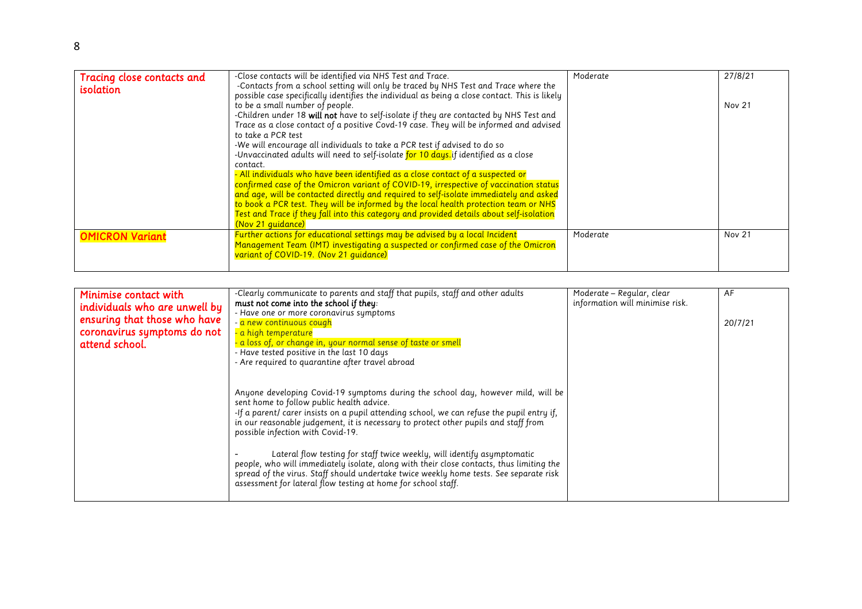| Tracing close contacts and<br><i>isolation</i> | -Close contacts will be identified via NHS Test and Trace.<br>-Contacts from a school setting will only be traced by NHS Test and Trace where the<br>possible case specifically identifies the individual as being a close contact. This is likely<br>to be a small number of people.<br>-Children under 18 will not have to self-isolate if they are contacted by NHS Test and<br>Trace as a close contact of a positive Covd-19 case. They will be informed and advised<br>to take a PCR test<br>-We will encourage all individuals to take a PCR test if advised to do so<br>-Unvaccinated adults will need to self-isolate for 10 days.if identified as a close<br>contact.<br>- All individuals who have been identified as a close contact of a suspected or<br>confirmed case of the Omicron variant of COVID-19, irrespective of vaccination status<br>and age, will be contacted directly and required to self-isolate immediately and asked<br>to book a PCR test. They will be informed by the local health protection team or NHS<br>Test and Trace if they fall into this category and provided details about self-isolation<br>(Nov 21 guidance) | Moderate | 27/8/21<br>Nov 21 |
|------------------------------------------------|----------------------------------------------------------------------------------------------------------------------------------------------------------------------------------------------------------------------------------------------------------------------------------------------------------------------------------------------------------------------------------------------------------------------------------------------------------------------------------------------------------------------------------------------------------------------------------------------------------------------------------------------------------------------------------------------------------------------------------------------------------------------------------------------------------------------------------------------------------------------------------------------------------------------------------------------------------------------------------------------------------------------------------------------------------------------------------------------------------------------------------------------------------------|----------|-------------------|
| <b>OMICRON Variant</b>                         | Further actions for educational settings may be advised by a local Incident<br>Management Team (IMT) investigating a suspected or confirmed case of the Omicron<br>variant of COVID-19. (Nov 21 guidance)                                                                                                                                                                                                                                                                                                                                                                                                                                                                                                                                                                                                                                                                                                                                                                                                                                                                                                                                                      | Moderate | <b>Nov 21</b>     |

| Minimise contact with<br>individuals who are unwell by<br>ensuring that those who have<br>coronavirus symptoms do not<br>attend school. | -Clearly communicate to parents and staff that pupils, staff and other adults<br>must not come into the school if they:<br>- Have one or more coronavirus symptoms<br>- <mark>a new continuous cough</mark><br>- a high temperature<br>- a loss of, or change in, your normal sense of taste or smell<br>- Have tested positive in the last 10 days<br>- Are required to quarantine after travel abroad                                                                                                                                                                                                                                                                                   | Moderate - Regular, clear<br>information will minimise risk. | AF<br>20/7/21 |
|-----------------------------------------------------------------------------------------------------------------------------------------|-------------------------------------------------------------------------------------------------------------------------------------------------------------------------------------------------------------------------------------------------------------------------------------------------------------------------------------------------------------------------------------------------------------------------------------------------------------------------------------------------------------------------------------------------------------------------------------------------------------------------------------------------------------------------------------------|--------------------------------------------------------------|---------------|
|                                                                                                                                         | Anyone developing Covid-19 symptoms during the school day, however mild, will be<br>sent home to follow public health advice.<br>-If a parent/ carer insists on a pupil attending school, we can refuse the pupil entry if,<br>in our reasonable judgement, it is necessary to protect other pupils and staff from<br>possible infection with Covid-19.<br>Lateral flow testing for staff twice weekly, will identify asymptomatic<br>people, who will immediately isolate, along with their close contacts, thus limiting the<br>spread of the virus. Staff should undertake twice weekly home tests. See separate risk<br>assessment for lateral flow testing at home for school staff. |                                                              |               |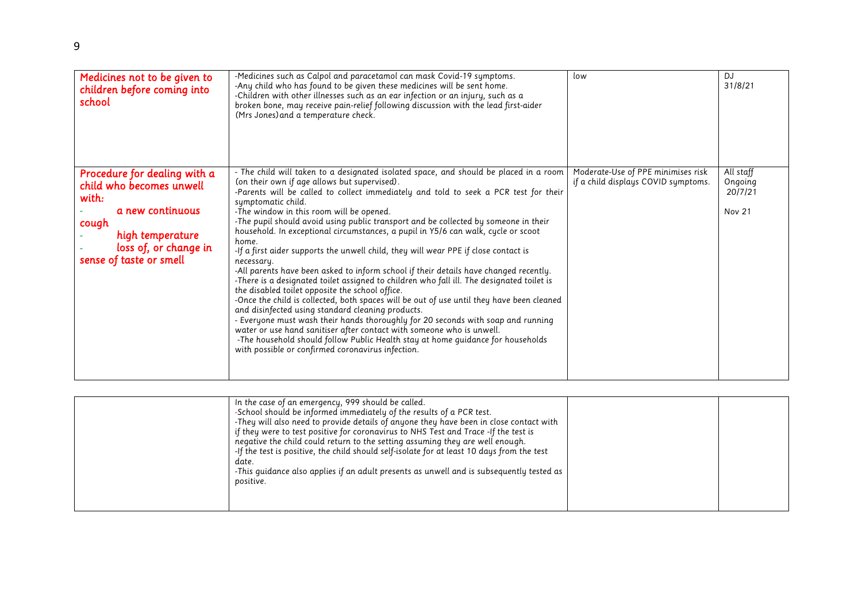| Medicines not to be given to<br>children before coming into<br>school                                                                                                  | -Medicines such as Calpol and paracetamol can mask Covid-19 symptoms.<br>-Any child who has found to be given these medicines will be sent home.<br>-Children with other illnesses such as an ear infection or an injury, such as a<br>broken bone, may receive pain-relief following discussion with the lead first-aider<br>(Mrs Jones) and a temperature check.                                                                                                                                                                                                                                                                                                                                                                                                                                                                                                                                                                                                                                                                                                                                                                                                                                                                                                                        | low                                                                       | <b>DJ</b><br>31/8/21                             |
|------------------------------------------------------------------------------------------------------------------------------------------------------------------------|-------------------------------------------------------------------------------------------------------------------------------------------------------------------------------------------------------------------------------------------------------------------------------------------------------------------------------------------------------------------------------------------------------------------------------------------------------------------------------------------------------------------------------------------------------------------------------------------------------------------------------------------------------------------------------------------------------------------------------------------------------------------------------------------------------------------------------------------------------------------------------------------------------------------------------------------------------------------------------------------------------------------------------------------------------------------------------------------------------------------------------------------------------------------------------------------------------------------------------------------------------------------------------------------|---------------------------------------------------------------------------|--------------------------------------------------|
| Procedure for dealing with a<br>child who becomes unwell<br>with:<br>a new continuous<br>cough<br>high temperature<br>loss of, or change in<br>sense of taste or smell | - The child will taken to a designated isolated space, and should be placed in a room<br>(on their own if age allows but supervised).<br>-Parents will be called to collect immediately and told to seek a PCR test for their<br>symptomatic child.<br>-The window in this room will be opened.<br>-The pupil should avoid using public transport and be collected by someone in their<br>household. In exceptional circumstances, a pupil in Y5/6 can walk, cycle or scoot<br>home.<br>-If a first aider supports the unwell child, they will wear PPE if close contact is<br>necessary.<br>-All parents have been asked to inform school if their details have changed recently.<br>-There is a designated toilet assigned to children who fall ill. The designated toilet is<br>the disabled toilet opposite the school office.<br>-Once the child is collected, both spaces will be out of use until they have been cleaned<br>and disinfected using standard cleaning products.<br>- Everyone must wash their hands thoroughly for 20 seconds with soap and running<br>water or use hand sanitiser after contact with someone who is unwell.<br>-The household should follow Public Health stay at home quidance for households<br>with possible or confirmed coronavirus infection. | Moderate-Use of PPE minimises risk<br>if a child displays COVID symptoms. | All staff<br>Ongoing<br>20/7/21<br><b>Nov 21</b> |

| In the case of an emergency, 999 should be called.<br>-School should be informed immediately of the results of a PCR test.<br>-They will also need to provide details of anyone they have been in close contact with<br>if they were to test positive for coronavirus to NHS Test and Trace -If the test is<br>negative the child could return to the setting assuming they are well enough.<br>-If the test is positive, the child should self-isolate for at least 10 days from the test<br>date.<br>-This guidance also applies if an adult presents as unwell and is subsequently tested as<br>positive. |  |  |
|--------------------------------------------------------------------------------------------------------------------------------------------------------------------------------------------------------------------------------------------------------------------------------------------------------------------------------------------------------------------------------------------------------------------------------------------------------------------------------------------------------------------------------------------------------------------------------------------------------------|--|--|
|--------------------------------------------------------------------------------------------------------------------------------------------------------------------------------------------------------------------------------------------------------------------------------------------------------------------------------------------------------------------------------------------------------------------------------------------------------------------------------------------------------------------------------------------------------------------------------------------------------------|--|--|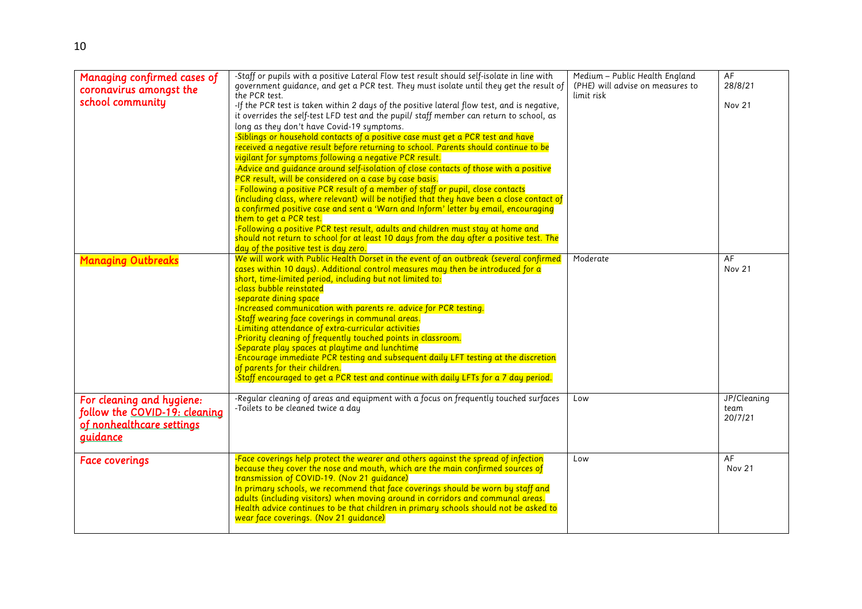| Managing confirmed cases of<br>coronavirus amongst the<br>school community                          | -Staff or pupils with a positive Lateral Flow test result should self-isolate in line with<br>government guidance, and get a PCR test. They must isolate until they get the result of<br>the PCR test.<br>-If the PCR test is taken within 2 days of the positive lateral flow test, and is negative,<br>it overrides the self-test LFD test and the pupil/ staff member can return to school, as<br>long as they don't have Covid-19 symptoms.<br>-Siblings or household contacts of a positive case must get a PCR test and have<br>received a negative result before returning to school. Parents should continue to be<br>vigilant for symptoms following a negative PCR result.<br>-Advice and quidance around self-isolation of close contacts of those with a positive<br>PCR result, will be considered on a case by case basis.<br>- Following a positive PCR result of a member of staff or pupil, close contacts<br>(including class, where relevant) will be notified that they have been a close contact of<br>a confirmed positive case and sent a 'Warn and Inform' letter by email, encouraging<br>them to get a PCR test.<br>-Following a positive PCR test result, adults and children must stay at home and<br>should not return to school for at least 10 days from the day after a positive test. The<br>day of the positive test is day zero. | Medium - Public Health England<br>(PHE) will advise on measures to<br>limit risk | AF<br>28/8/21<br><b>Nov 21</b> |
|-----------------------------------------------------------------------------------------------------|---------------------------------------------------------------------------------------------------------------------------------------------------------------------------------------------------------------------------------------------------------------------------------------------------------------------------------------------------------------------------------------------------------------------------------------------------------------------------------------------------------------------------------------------------------------------------------------------------------------------------------------------------------------------------------------------------------------------------------------------------------------------------------------------------------------------------------------------------------------------------------------------------------------------------------------------------------------------------------------------------------------------------------------------------------------------------------------------------------------------------------------------------------------------------------------------------------------------------------------------------------------------------------------------------------------------------------------------------------------------|----------------------------------------------------------------------------------|--------------------------------|
| <b>Managing Outbreaks</b>                                                                           | We will work with Public Health Dorset in the event of an outbreak (several confirmed<br>cases within 10 days). Additional control measures may then be introduced for a<br>short, time-limited period, including but not limited to:<br>-class bubble reinstated<br>-separate dining space<br>-Increased communication with parents re. advice for PCR testing.<br>-Staff wearing face coverings in communal areas.<br>-Limiting attendance of extra-curricular activities<br>-Priority cleaning of frequently touched points in classroom.<br>-Separate play spaces at playtime and lunchtime<br>-Encourage immediate PCR testing and subsequent daily LFT testing at the discretion<br>of parents for their children.<br>-Staff encouraged to get a PCR test and continue with daily LFTs for a 7 day period.                                                                                                                                                                                                                                                                                                                                                                                                                                                                                                                                                    | Moderate                                                                         | AF<br><b>Nov 21</b>            |
| For cleaning and hygiene:<br>follow the COVID-19: cleaning<br>of nonhealthcare settings<br>guidance | -Regular cleaning of areas and equipment with a focus on frequently touched surfaces<br>-Toilets to be cleaned twice a day                                                                                                                                                                                                                                                                                                                                                                                                                                                                                                                                                                                                                                                                                                                                                                                                                                                                                                                                                                                                                                                                                                                                                                                                                                          | Low                                                                              | JP/Cleaning<br>team<br>20/7/21 |
| <b>Face coverings</b>                                                                               | -Face coverings help protect the wearer and others against the spread of infection<br>because they cover the nose and mouth, which are the main confirmed sources of<br>transmission of COVID-19. (Nov 21 guidance)<br>In primary schools, we recommend that face coverings should be worn by staff and<br>adults (including visitors) when moving around in corridors and communal areas.<br>Health advice continues to be that children in primary schools should not be asked to<br>wear face coverings. (Nov 21 quidance)                                                                                                                                                                                                                                                                                                                                                                                                                                                                                                                                                                                                                                                                                                                                                                                                                                       | Low                                                                              | AF<br><b>Nov 21</b>            |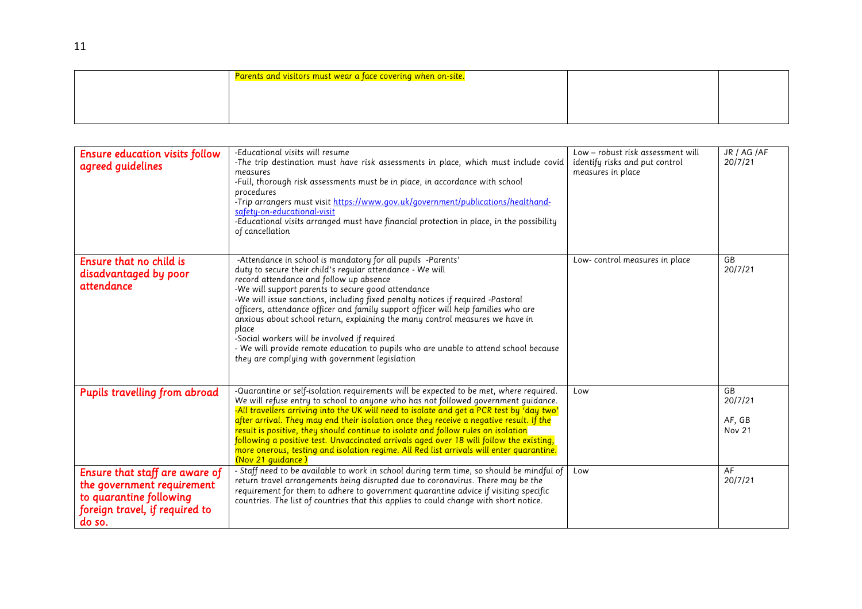| Parents and visitors must wear a face covering when on-site. |  |
|--------------------------------------------------------------|--|
|                                                              |  |
|                                                              |  |
|                                                              |  |

| <b>Ensure education visits follow</b><br>agreed guidelines                                                                          | -Educational visits will resume<br>-The trip destination must have risk assessments in place, which must include covid<br>measures<br>-Full, thorough risk assessments must be in place, in accordance with school<br>procedures<br>-Trip arrangers must visit https://www.gov.uk/government/publications/healthand-<br>safety-on-educational-visit<br>-Educational visits arranged must have financial protection in place, in the possibility<br>of cancellation                                                                                                                                                                                                                    | Low - robust risk assessment will<br>identify risks and put control<br>measures in place | JR / AG /AF<br>20/7/21            |
|-------------------------------------------------------------------------------------------------------------------------------------|---------------------------------------------------------------------------------------------------------------------------------------------------------------------------------------------------------------------------------------------------------------------------------------------------------------------------------------------------------------------------------------------------------------------------------------------------------------------------------------------------------------------------------------------------------------------------------------------------------------------------------------------------------------------------------------|------------------------------------------------------------------------------------------|-----------------------------------|
| Ensure that no child is<br>disadvantaged by poor<br>attendance                                                                      | -Attendance in school is mandatory for all pupils -Parents'<br>duty to secure their child's regular attendance - We will<br>record attendance and follow up absence<br>-We will support parents to secure good attendance<br>-We will issue sanctions, including fixed penalty notices if required -Pastoral<br>officers, attendance officer and family support officer will help families who are<br>anxious about school return, explaining the many control measures we have in<br>place<br>-Social workers will be involved if required<br>- We will provide remote education to pupils who are unable to attend school because<br>they are complying with government legislation | Low-control measures in place                                                            | GB<br>20/7/21                     |
| <b>Pupils travelling from abroad</b>                                                                                                | -Quarantine or self-isolation requirements will be expected to be met, where required.<br>We will refuse entry to school to anyone who has not followed government guidance.<br>-All travellers arriving into the UK will need to isolate and get a PCR test by 'day two'<br>after arrival. They may end their isolation once they receive a negative result. If the<br>result is positive, they should continue to isolate and follow rules on isolation<br>following a positive test. Unvaccinated arrivals aged over 18 will follow the existing,<br>more onerous, testing and isolation regime. All Red list arrivals will enter quarantine.<br>(Nov 21 quidance)                 | Low                                                                                      | GB<br>20/7/21<br>AF, GB<br>Nov 21 |
| Ensure that staff are aware of<br>the government requirement<br>to quarantine following<br>foreign travel, if required to<br>do so. | - Staff need to be available to work in school during term time, so should be mindful of<br>return travel arrangements being disrupted due to coronavirus. There may be the<br>requirement for them to adhere to government quarantine advice if visiting specific<br>countries. The list of countries that this applies to could change with short notice.                                                                                                                                                                                                                                                                                                                           | Low                                                                                      | AF<br>20/7/21                     |